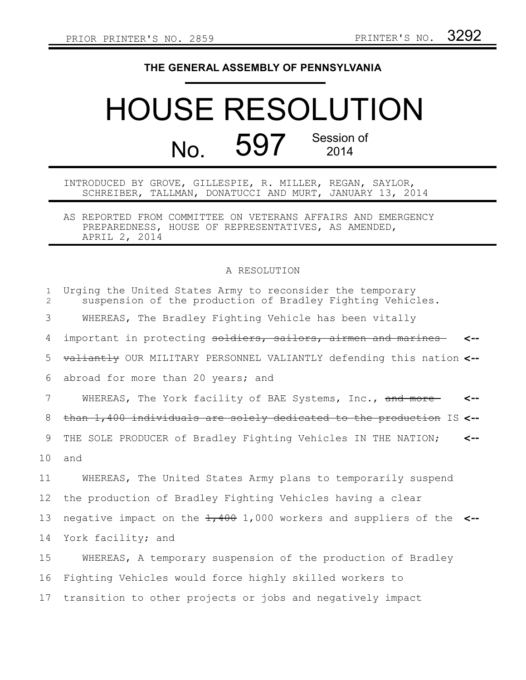## **THE GENERAL ASSEMBLY OF PENNSYLVANIA**

## HOUSE RESOLUTION No. 597 Session of 2014

## INTRODUCED BY GROVE, GILLESPIE, R. MILLER, REGAN, SAYLOR, SCHREIBER, TALLMAN, DONATUCCI AND MURT, JANUARY 13, 2014

AS REPORTED FROM COMMITTEE ON VETERANS AFFAIRS AND EMERGENCY PREPAREDNESS, HOUSE OF REPRESENTATIVES, AS AMENDED, APRIL 2, 2014

## A RESOLUTION

| $\mathbf{1}$<br>$\overline{2}$ | Urging the United States Army to reconsider the temporary<br>suspension of the production of Bradley Fighting Vehicles. |
|--------------------------------|-------------------------------------------------------------------------------------------------------------------------|
| 3                              | WHEREAS, The Bradley Fighting Vehicle has been vitally                                                                  |
| 4                              | important in protecting soldiers, sailors, airmen and marines                                                           |
| 5                              | valiantly OUR MILITARY PERSONNEL VALIANTLY defending this nation <--                                                    |
| 6                              | abroad for more than 20 years; and                                                                                      |
| 7                              | WHEREAS, The York facility of BAE Systems, Inc., and more-<br><--                                                       |
| 8                              | than 1,400 individuals are solely dedicated to the production IS <--                                                    |
| 9                              | THE SOLE PRODUCER of Bradley Fighting Vehicles IN THE NATION;<br><--                                                    |
| 10                             | and                                                                                                                     |
| 11                             | WHEREAS, The United States Army plans to temporarily suspend                                                            |
| 12                             | the production of Bradley Fighting Vehicles having a clear                                                              |
| 13                             | negative impact on the $\frac{1}{400}$ 1,000 workers and suppliers of the <--                                           |
| 14                             | York facility; and                                                                                                      |
| 15                             | WHEREAS, A temporary suspension of the production of Bradley                                                            |
| 16                             | Fighting Vehicles would force highly skilled workers to                                                                 |
| 17                             | transition to other projects or jobs and negatively impact                                                              |